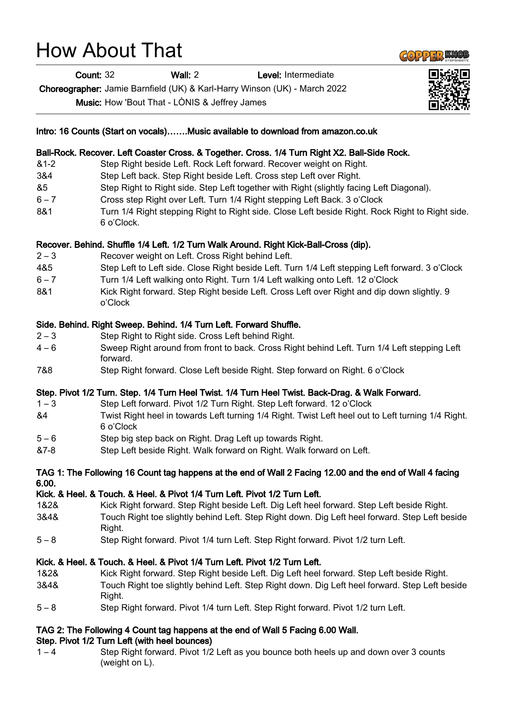## How About That

Count: 32 Wall: 2 Level: Intermediate

Choreographer: Jamie Barnfield (UK) & Karl-Harry Winson (UK) - March 2022

Music: How 'Bout That - LÒNIS & Jeffrey James

| Intro: 16 Counts (Start on vocals)Music available to download from amazon.co.uk                                   |                                                                                                                 |
|-------------------------------------------------------------------------------------------------------------------|-----------------------------------------------------------------------------------------------------------------|
|                                                                                                                   | Ball-Rock. Recover. Left Coaster Cross. & Together. Cross. 1/4 Turn Right X2. Ball-Side Rock.                   |
| $&1-2$                                                                                                            | Step Right beside Left. Rock Left forward. Recover weight on Right.                                             |
| 3&4                                                                                                               | Step Left back. Step Right beside Left. Cross step Left over Right.                                             |
| &5                                                                                                                | Step Right to Right side. Step Left together with Right (slightly facing Left Diagonal).                        |
| $6 - 7$                                                                                                           | Cross step Right over Left. Turn 1/4 Right stepping Left Back. 3 o'Clock                                        |
| 8&1                                                                                                               | Turn 1/4 Right stepping Right to Right side. Close Left beside Right. Rock Right to Right side.<br>6 o'Clock.   |
| Recover. Behind. Shuffle 1/4 Left. 1/2 Turn Walk Around. Right Kick-Ball-Cross (dip).                             |                                                                                                                 |
| $2 - 3$                                                                                                           | Recover weight on Left. Cross Right behind Left.                                                                |
| 4&5                                                                                                               | Step Left to Left side. Close Right beside Left. Turn 1/4 Left stepping Left forward. 3 o'Clock                 |
| $6 - 7$                                                                                                           | Turn 1/4 Left walking onto Right. Turn 1/4 Left walking onto Left. 12 o'Clock                                   |
| 8&1                                                                                                               | Kick Right forward. Step Right beside Left. Cross Left over Right and dip down slightly. 9<br>o'Clock           |
| Side. Behind. Right Sweep. Behind. 1/4 Turn Left. Forward Shuffle.                                                |                                                                                                                 |
| $2 - 3$                                                                                                           | Step Right to Right side. Cross Left behind Right.                                                              |
| $4 - 6$                                                                                                           | Sweep Right around from front to back. Cross Right behind Left. Turn 1/4 Left stepping Left<br>forward.         |
| 7&8                                                                                                               | Step Right forward. Close Left beside Right. Step forward on Right. 6 o'Clock                                   |
| Step. Pivot 1/2 Turn. Step. 1/4 Turn Heel Twist. 1/4 Turn Heel Twist. Back-Drag. & Walk Forward.                  |                                                                                                                 |
| $1 - 3$                                                                                                           | Step Left forward. Pivot 1/2 Turn Right. Step Left forward. 12 o'Clock                                          |
| &4                                                                                                                | Twist Right heel in towards Left turning 1/4 Right. Twist Left heel out to Left turning 1/4 Right.<br>6 o'Clock |
| $5 - 6$                                                                                                           | Step big step back on Right. Drag Left up towards Right.                                                        |
| &7-8                                                                                                              | Step Left beside Right. Walk forward on Right. Walk forward on Left.                                            |
| TAG 1: The Following 16 Count tag happens at the end of Wall 2 Facing 12.00 and the end of Wall 4 facing<br>6.00. |                                                                                                                 |
|                                                                                                                   | Kick. & Heel. & Touch. & Heel. & Pivot 1/4 Turn Left. Pivot 1/2 Turn Left.                                      |
| 1&2&                                                                                                              | Kick Right forward. Step Right beside Left. Dig Left heel forward. Step Left beside Right.                      |
| 3&4&                                                                                                              | Touch Right toe slightly behind Left. Step Right down. Dig Left heel forward. Step Left beside<br>Right.        |
| $5 - 8$                                                                                                           | Step Right forward. Pivot 1/4 turn Left. Step Right forward. Pivot 1/2 turn Left.                               |
| Kick. & Heel. & Touch. & Heel. & Pivot 1/4 Turn Left. Pivot 1/2 Turn Left.                                        |                                                                                                                 |
| 1&2&                                                                                                              | Kick Right forward. Step Right beside Left. Dig Left heel forward. Step Left beside Right.                      |
| 3&4&                                                                                                              | Touch Right toe slightly behind Left. Step Right down. Dig Left heel forward. Step Left beside<br>Right.        |
| $5 - 8$                                                                                                           | Step Right forward. Pivot 1/4 turn Left. Step Right forward. Pivot 1/2 turn Left.                               |
| TAG 2: The Following 4 Count tag happens at the end of Wall 5 Facing 6.00 Wall.                                   |                                                                                                                 |

## Step. Pivot 1/2 Turn Left (with heel bounces)

1 – 4 Step Right forward. Pivot 1/2 Left as you bounce both heels up and down over 3 counts (weight on L).